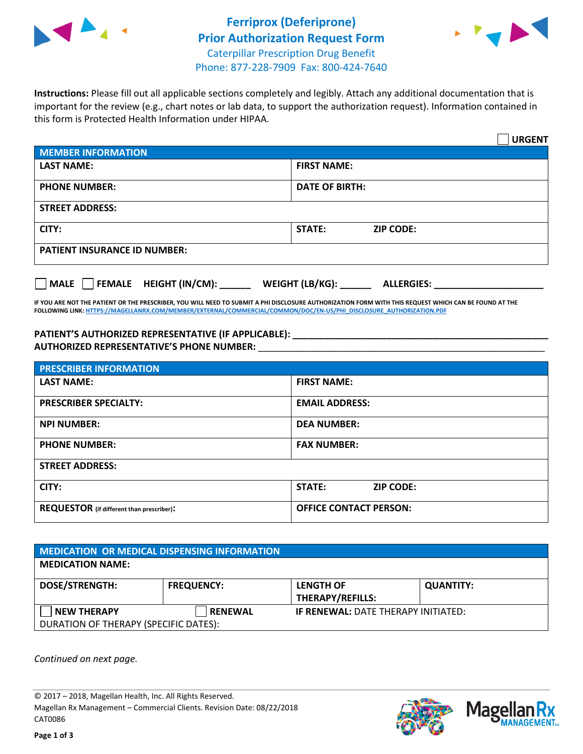



**Instructions:** Please fill out all applicable sections completely and legibly. Attach any additional documentation that is important for the review (e.g., chart notes or lab data, to support the authorization request). Information contained in this form is Protected Health Information under HIPAA.

|                                       | <b>URGENT</b>                        |
|---------------------------------------|--------------------------------------|
| <b>MEMBER INFORMATION</b>             |                                      |
| <b>LAST NAME:</b>                     | <b>FIRST NAME:</b>                   |
| <b>PHONE NUMBER:</b>                  | <b>DATE OF BIRTH:</b>                |
| <b>STREET ADDRESS:</b>                |                                      |
| CITY:                                 | STATE:<br><b>ZIP CODE:</b>           |
| <b>PATIENT INSURANCE ID NUMBER:</b>   |                                      |
| FEMALE HEIGHT (IN/CM):<br><b>MALE</b> | WEIGHT (LB/KG):<br><b>ALLERGIES:</b> |

**IF YOU ARE NOT THE PATIENT OR THE PRESCRIBER, YOU WILL NEED TO SUBMIT A PHI DISCLOSURE AUTHORIZATION FORM WITH THIS REQUEST WHICH CAN BE FOUND AT THE FOLLOWING LINK[: HTTPS://MAGELLANRX.COM/MEMBER/EXTERNAL/COMMERCIAL/COMMON/DOC/EN-US/PHI\\_DISCLOSURE\\_AUTHORIZATION.PDF](https://magellanrx.com/member/external/commercial/common/doc/en-us/PHI_Disclosure_Authorization.pdf)**

**PATIENT'S AUTHORIZED REPRESENTATIVE (IF APPLICABLE): \_\_\_\_\_\_\_\_\_\_\_\_\_\_\_\_\_\_\_\_\_\_\_\_\_\_\_\_\_\_\_\_\_\_\_\_\_\_\_\_\_\_\_\_\_\_\_\_\_ AUTHORIZED REPRESENTATIVE'S PHONE NUMBER:** \_\_\_\_\_\_\_\_\_\_\_\_\_\_\_\_\_\_\_\_\_\_\_\_\_\_\_\_\_\_\_\_\_\_\_\_\_\_\_\_\_\_\_\_\_\_\_\_\_\_\_\_\_\_\_

| <b>PRESCRIBER INFORMATION</b>             |                               |
|-------------------------------------------|-------------------------------|
| <b>LAST NAME:</b>                         | <b>FIRST NAME:</b>            |
| <b>PRESCRIBER SPECIALTY:</b>              | <b>EMAIL ADDRESS:</b>         |
| <b>NPI NUMBER:</b>                        | <b>DEA NUMBER:</b>            |
| <b>PHONE NUMBER:</b>                      | <b>FAX NUMBER:</b>            |
| <b>STREET ADDRESS:</b>                    |                               |
| CITY:                                     | STATE:<br><b>ZIP CODE:</b>    |
| REQUESTOR (if different than prescriber): | <b>OFFICE CONTACT PERSON:</b> |

| <b>MEDICATION OR MEDICAL DISPENSING INFORMATION</b> |                   |                                            |                  |  |  |
|-----------------------------------------------------|-------------------|--------------------------------------------|------------------|--|--|
| <b>MEDICATION NAME:</b>                             |                   |                                            |                  |  |  |
| <b>DOSE/STRENGTH:</b>                               | <b>FREQUENCY:</b> | <b>LENGTH OF</b>                           | <b>QUANTITY:</b> |  |  |
|                                                     |                   | <b>THERAPY/REFILLS:</b>                    |                  |  |  |
| <b>NEW THERAPY</b>                                  | <b>RENEWAL</b>    | <b>IF RENEWAL: DATE THERAPY INITIATED:</b> |                  |  |  |
| DURATION OF THERAPY (SPECIFIC DATES):               |                   |                                            |                  |  |  |

*Continued on next page.*

© 2017 – 2018, Magellan Health, Inc. All Rights Reserved. Magellan Rx Management – Commercial Clients. Revision Date: 08/22/2018 CAT0086



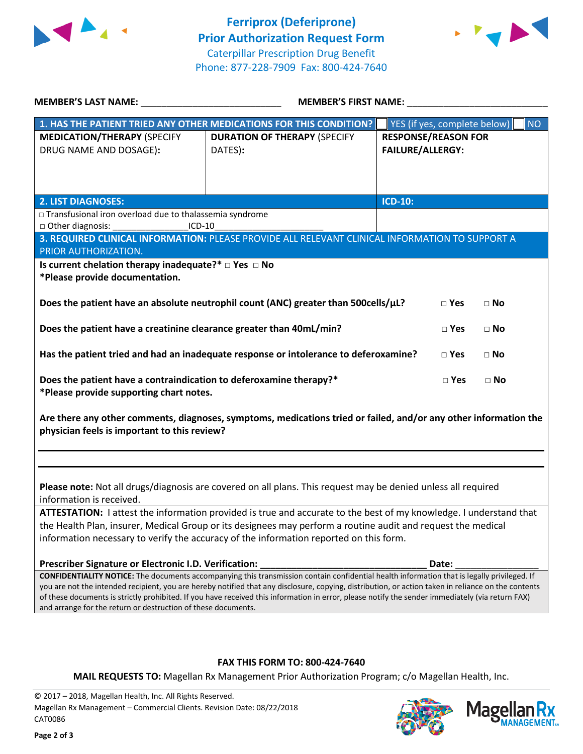



| <b>MEMBER'S LAST NAME:</b> NAME                                     | <b>MEMBER'S FIRST NAME:</b>                                                                                                                         |                              |           |
|---------------------------------------------------------------------|-----------------------------------------------------------------------------------------------------------------------------------------------------|------------------------------|-----------|
|                                                                     | 1. HAS THE PATIENT TRIED ANY OTHER MEDICATIONS FOR THIS CONDITION?                                                                                  | YES (if yes, complete below) | <b>NO</b> |
| <b>MEDICATION/THERAPY (SPECIFY</b>                                  | <b>DURATION OF THERAPY (SPECIFY</b>                                                                                                                 | <b>RESPONSE/REASON FOR</b>   |           |
| DRUG NAME AND DOSAGE):                                              | DATES):                                                                                                                                             | <b>FAILURE/ALLERGY:</b>      |           |
|                                                                     |                                                                                                                                                     |                              |           |
|                                                                     |                                                                                                                                                     |                              |           |
|                                                                     |                                                                                                                                                     |                              |           |
| <b>2. LIST DIAGNOSES:</b>                                           |                                                                                                                                                     | <b>ICD-10:</b>               |           |
| □ Transfusional iron overload due to thalassemia syndrome           |                                                                                                                                                     |                              |           |
| □ Other diagnosis:<br>$ICD-10$                                      |                                                                                                                                                     |                              |           |
|                                                                     | 3. REQUIRED CLINICAL INFORMATION: PLEASE PROVIDE ALL RELEVANT CLINICAL INFORMATION TO SUPPORT A                                                     |                              |           |
| PRIOR AUTHORIZATION.                                                |                                                                                                                                                     |                              |           |
| Is current chelation therapy inadequate?* $\Box$ Yes $\Box$ No      |                                                                                                                                                     |                              |           |
| *Please provide documentation.                                      |                                                                                                                                                     |                              |           |
|                                                                     | Does the patient have an absolute neutrophil count (ANC) greater than 500cells/µL?                                                                  | $\square$ Yes<br>$\Box$ No   |           |
|                                                                     |                                                                                                                                                     |                              |           |
| Does the patient have a creatinine clearance greater than 40mL/min? |                                                                                                                                                     | $\Box$ Yes<br>$\Box$ No      |           |
|                                                                     |                                                                                                                                                     |                              |           |
|                                                                     | Has the patient tried and had an inadequate response or intolerance to deferoxamine?                                                                | $\Box$ Yes<br>$\Box$ No      |           |
|                                                                     |                                                                                                                                                     |                              |           |
| Does the patient have a contraindication to deferoxamine therapy?*  |                                                                                                                                                     | $\square$ Yes<br>$\Box$ No   |           |
| *Please provide supporting chart notes.                             |                                                                                                                                                     |                              |           |
|                                                                     |                                                                                                                                                     |                              |           |
|                                                                     | Are there any other comments, diagnoses, symptoms, medications tried or failed, and/or any other information the                                    |                              |           |
| physician feels is important to this review?                        |                                                                                                                                                     |                              |           |
|                                                                     |                                                                                                                                                     |                              |           |
|                                                                     |                                                                                                                                                     |                              |           |
|                                                                     |                                                                                                                                                     |                              |           |
|                                                                     | Please note: Not all drugs/diagnosis are covered on all plans. This request may be denied unless all required                                       |                              |           |
| information is received.                                            |                                                                                                                                                     |                              |           |
|                                                                     | ATTESTATION: I attest the information provided is true and accurate to the best of my knowledge. I understand that                                  |                              |           |
|                                                                     | the Health Plan, insurer, Medical Group or its designees may perform a routine audit and request the medical                                        |                              |           |
|                                                                     | information necessary to verify the accuracy of the information reported on this form.                                                              |                              |           |
|                                                                     |                                                                                                                                                     |                              |           |
| Prescriber Signature or Electronic I.D. Verification:               | CONFIDENTIALITY NOTICE: The documents accompanying this transmission contain confidential health information that is legally privileged. If         | Date:                        |           |
|                                                                     | you are not the intended recipient, you are hereby notified that any disclosure, copying, distribution, or action taken in reliance on the contents |                              |           |
|                                                                     | of these documents is strictly prohibited. If you have received this information in error, please notify the sender immediately (via return FAX)    |                              |           |

and arrange for the return or destruction of these documents.

## **FAX THIS FORM TO: 800-424-7640**

**MAIL REQUESTS TO:** Magellan Rx Management Prior Authorization Program; c/o Magellan Health, Inc.

© 2017 – 2018, Magellan Health, Inc. All Rights Reserved. Magellan Rx Management – Commercial Clients. Revision Date: 08/22/2018 CAT0086